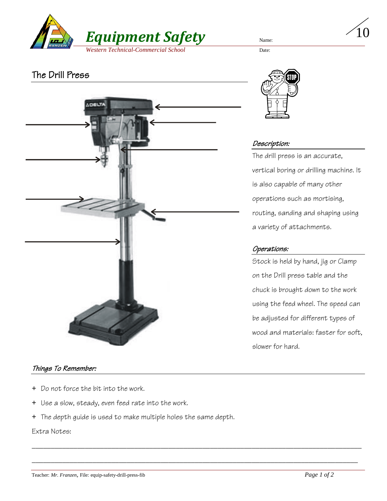

# The Drill Press



#### Things To Remember:

- + Do not force the bit into the work.
- + Use a slow, steady, even feed rate into the work.
- + The depth guide is used to make multiple holes the same depth.

\_\_\_\_\_\_\_\_\_\_\_\_\_\_\_\_\_\_\_\_\_\_\_\_\_\_\_\_\_\_\_\_\_\_\_\_\_\_\_\_\_\_\_\_\_\_\_\_\_\_\_\_\_\_\_\_\_\_\_\_\_\_\_\_\_\_\_\_\_\_\_\_\_\_\_\_\_\_\_\_\_\_\_\_\_\_\_

\_\_\_\_\_\_\_\_\_\_\_\_\_\_\_\_\_\_\_\_\_\_\_\_\_\_\_\_\_\_\_\_\_\_\_\_\_\_\_\_\_\_\_\_\_\_\_\_\_\_\_\_\_\_\_\_\_\_\_\_\_\_\_\_\_\_\_\_\_\_\_\_\_\_\_\_\_\_\_\_\_\_\_\_\_\_

Extra Notes:



### Description:

The drill press is an accurate, vertical boring or drilling machine. It is also capable of many other operations such as mortising, routing, sanding and shaping using a variety of attachments.

10

### Operations:

Stock is held by hand, jig or Clamp on the Drill press table and the chuck is brought down to the work using the feed wheel. The speed can be adjusted for different types of wood and materials: faster for soft, slower for hard.